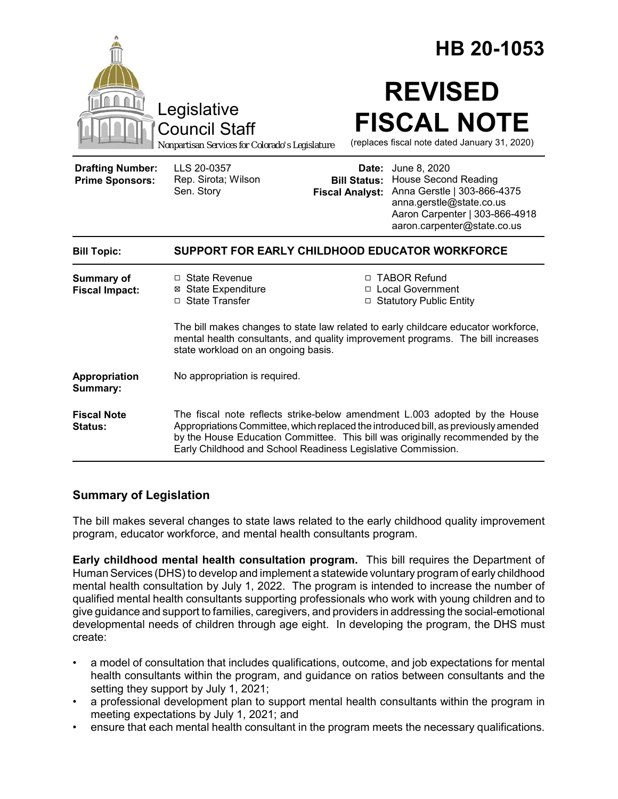|                                                   |                                                                                                                                                                                                                                                                                                                    | HB 20-1053 |                                                                                                                                                                                                                   |  |
|---------------------------------------------------|--------------------------------------------------------------------------------------------------------------------------------------------------------------------------------------------------------------------------------------------------------------------------------------------------------------------|------------|-------------------------------------------------------------------------------------------------------------------------------------------------------------------------------------------------------------------|--|
|                                                   | Legislative<br><b>Council Staff</b><br>Nonpartisan Services for Colorado's Legislature                                                                                                                                                                                                                             |            | <b>REVISED</b><br><b>FISCAL NOTE</b><br>(replaces fiscal note dated January 31, 2020)                                                                                                                             |  |
| <b>Drafting Number:</b><br><b>Prime Sponsors:</b> | LLS 20-0357<br>Rep. Sirota; Wilson<br>Sen. Story                                                                                                                                                                                                                                                                   |            | <b>Date:</b> June 8, 2020<br><b>Bill Status: House Second Reading</b><br>Fiscal Analyst: Anna Gerstle   303-866-4375<br>anna.gerstle@state.co.us<br>Aaron Carpenter   303-866-4918<br>aaron.carpenter@state.co.us |  |
| <b>Bill Topic:</b>                                | SUPPORT FOR EARLY CHILDHOOD EDUCATOR WORKFORCE                                                                                                                                                                                                                                                                     |            |                                                                                                                                                                                                                   |  |
| Summary of<br><b>Fiscal Impact:</b>               | □ State Revenue<br><b>⊠</b> State Expenditure<br>□ State Transfer                                                                                                                                                                                                                                                  |            | □ TABOR Refund<br>□ Local Government<br>□ Statutory Public Entity                                                                                                                                                 |  |
|                                                   | The bill makes changes to state law related to early childcare educator workforce,<br>mental health consultants, and quality improvement programs. The bill increases<br>state workload on an ongoing basis.                                                                                                       |            |                                                                                                                                                                                                                   |  |
| Appropriation<br>Summary:                         | No appropriation is required.                                                                                                                                                                                                                                                                                      |            |                                                                                                                                                                                                                   |  |
| <b>Fiscal Note</b><br>Status:                     | The fiscal note reflects strike-below amendment L.003 adopted by the House<br>Appropriations Committee, which replaced the introduced bill, as previously amended<br>by the House Education Committee. This bill was originally recommended by the<br>Early Childhood and School Readiness Legislative Commission. |            |                                                                                                                                                                                                                   |  |

# **Summary of Legislation**

The bill makes several changes to state laws related to the early childhood quality improvement program, educator workforce, and mental health consultants program.

**Early childhood mental health consultation program.** This bill requires the Department of Human Services (DHS) to develop and implement a statewide voluntary program of early childhood mental health consultation by July 1, 2022. The program is intended to increase the number of qualified mental health consultants supporting professionals who work with young children and to give guidance and support to families, caregivers, and providers in addressing the social-emotional developmental needs of children through age eight. In developing the program, the DHS must create:

- a model of consultation that includes qualifications, outcome, and job expectations for mental health consultants within the program, and guidance on ratios between consultants and the setting they support by July 1, 2021;
- a professional development plan to support mental health consultants within the program in meeting expectations by July 1, 2021; and
- ensure that each mental health consultant in the program meets the necessary qualifications.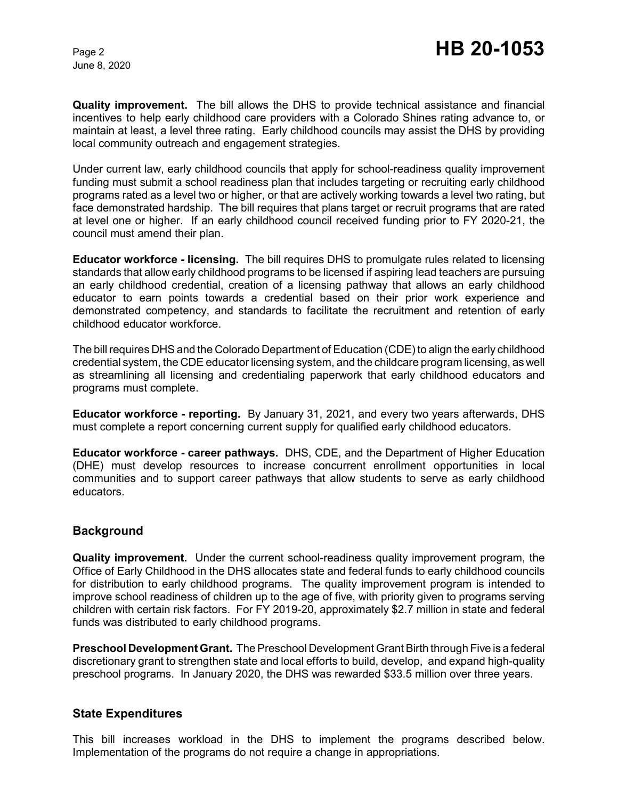June 8, 2020

**Quality improvement.** The bill allows the DHS to provide technical assistance and financial incentives to help early childhood care providers with a Colorado Shines rating advance to, or maintain at least, a level three rating. Early childhood councils may assist the DHS by providing local community outreach and engagement strategies.

Under current law, early childhood councils that apply for school-readiness quality improvement funding must submit a school readiness plan that includes targeting or recruiting early childhood programs rated as a level two or higher, or that are actively working towards a level two rating, but face demonstrated hardship. The bill requires that plans target or recruit programs that are rated at level one or higher. If an early childhood council received funding prior to FY 2020-21, the council must amend their plan.

**Educator workforce - licensing.** The bill requires DHS to promulgate rules related to licensing standards that allow early childhood programs to be licensed if aspiring lead teachers are pursuing an early childhood credential, creation of a licensing pathway that allows an early childhood educator to earn points towards a credential based on their prior work experience and demonstrated competency, and standards to facilitate the recruitment and retention of early childhood educator workforce.

The bill requires DHS and the Colorado Department of Education (CDE) to align the early childhood credential system, the CDE educator licensing system, and the childcare program licensing, as well as streamlining all licensing and credentialing paperwork that early childhood educators and programs must complete.

**Educator workforce - reporting.** By January 31, 2021, and every two years afterwards, DHS must complete a report concerning current supply for qualified early childhood educators.

**Educator workforce - career pathways.** DHS, CDE, and the Department of Higher Education (DHE) must develop resources to increase concurrent enrollment opportunities in local communities and to support career pathways that allow students to serve as early childhood educators.

## **Background**

**Quality improvement.** Under the current school-readiness quality improvement program, the Office of Early Childhood in the DHS allocates state and federal funds to early childhood councils for distribution to early childhood programs. The quality improvement program is intended to improve school readiness of children up to the age of five, with priority given to programs serving children with certain risk factors. For FY 2019-20, approximately \$2.7 million in state and federal funds was distributed to early childhood programs.

**Preschool Development Grant.** The Preschool Development Grant Birth through Five is a federal discretionary grant to strengthen state and local efforts to build, develop, and expand high-quality preschool programs. In January 2020, the DHS was rewarded \$33.5 million over three years.

### **State Expenditures**

This bill increases workload in the DHS to implement the programs described below. Implementation of the programs do not require a change in appropriations.